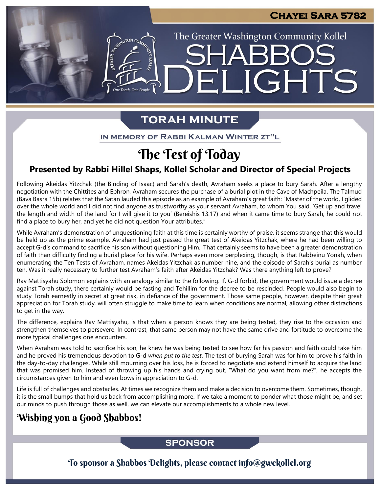LIGHTS

The Greater Washington Community Kollel

# **TORAH MINUTE**

H

IN MEMORY OF RABBI KALMAN WINTER ZT"L

# The Test of Today

# **Presented by Rabbi Hillel Shaps, Kollel Scholar and Director of Special Projects**

Following Akeidas Yitzchak (the Binding of Isaac) and Sarah's death, Avraham seeks a place to bury Sarah. After a lengthy negotiation with the Chittites and Ephron, Avraham secures the purchase of a burial plot in the Cave of Machpeila. The Talmud (Bava Basra 15b) relates that the Satan lauded this episode as an example of Avraham's great faith: "Master of the world, I glided over the whole world and I did not find anyone as trustworthy as your servant Avraham, to whom You said, 'Get up and travel the length and width of the land for I will give it to you' (Bereishis 13:17) and when it came time to bury Sarah, he could not find a place to bury her, and yet he did not question Your attributes."

While Avraham's demonstration of unquestioning faith at this time is certainly worthy of praise, it seems strange that this would be held up as the prime example. Avraham had just passed the great test of Akeidas Yitzchak, where he had been willing to accept G-d's command to sacrifice his son without questioning Him. That certainly seems to have been a greater demonstration of faith than difficulty finding a burial place for his wife. Perhaps even more perplexing, though, is that Rabbeinu Yonah, when enumerating the Ten Tests of Avraham, names Akeidas Yitzchak as number nine, and the episode of Sarah's burial as number ten. Was it really necessary to further test Avraham's faith after Akeidas Yitzchak? Was there anything left to prove?

Rav Mattisyahu Solomon explains with an analogy similar to the following. If, G-d forbid, the government would issue a decree against Torah study, there certainly would be fasting and Tehillim for the decree to be rescinded. People would also begin to study Torah earnestly in secret at great risk, in defiance of the government. Those same people, however, despite their great appreciation for Torah study, will often struggle to make time to learn when conditions are normal, allowing other distractions to get in the way.

The difference, explains Rav Mattisyahu, is that when a person knows they are being tested, they rise to the occasion and strengthen themselves to persevere. In contrast, that same person may not have the same drive and fortitude to overcome the more typical challenges one encounters.

When Avraham was told to sacrifice his son, he knew he was being tested to see how far his passion and faith could take him and he proved his tremendous devotion to G-d *when put to the test*. The test of burying Sarah was for him to prove his faith in the day-to-day challenges. While still mourning over his loss, he is forced to negotiate and extend himself to acquire the land that was promised him. Instead of throwing up his hands and crying out, "What do you want from me?", he accepts the circumstances given to him and even bows in appreciation to G-d.

Life is full of challenges and obstacles. At times we recognize them and make a decision to overcome them. Sometimes, though, it is the small bumps that hold us back from accomplishing more. If we take a moment to ponder what those might be, and set our minds to push through those as well, we can elevate our accomplishments to a whole new level.

# Wishing you a Good Shabbos!

## **SPONSOR**

To sponsor a Shabbos Delights, please contact info@gwckollel.org